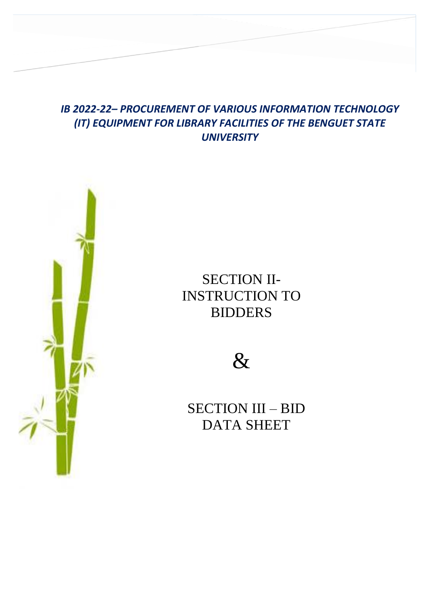# *IB 2022-22– PROCUREMENT OF VARIOUS INFORMATION TECHNOLOGY (IT) EQUIPMENT FOR LIBRARY FACILITIES OF THE BENGUET STATE UNIVERSITY*

**SECTION II – INSTRUCTION TO BIDDERS SECTION III – BID DATA SHEET**



SECTION II-INSTRUCTION TO BIDDERS



SECTION III – BID DATA SHEET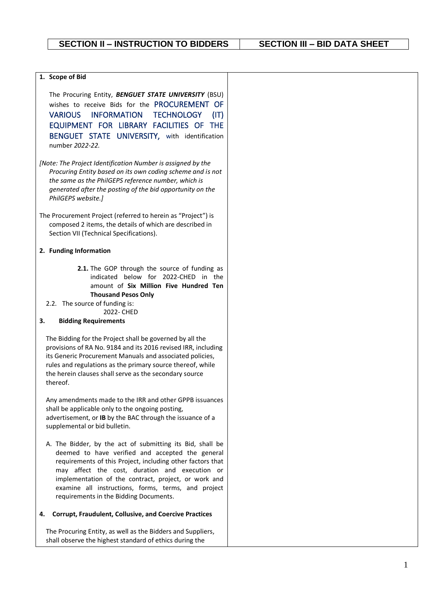### **1. Scope of Bid**

The Procuring Entity, *BENGUET STATE UNIVERSITY* (BSU) wishes to receive Bids for the PROCUREMENT OF VARIOUS INFORMATION TECHNOLOGY (IT) EQUIPMENT FOR LIBRARY FACILITIES OF THE BENGUET STATE UNIVERSITY, with identification number *2022-22.*

- *[Note: The Project Identification Number is assigned by the Procuring Entity based on its own coding scheme and is not the same as the PhilGEPS reference number, which is generated after the posting of the bid opportunity on the PhilGEPS website.]*
- The Procurement Project (referred to herein as "Project") is composed 2 items, the details of which are described in Section VII (Technical Specifications).

#### **2. Funding Information**

**2.1.** The GOP through the source of funding as indicated below for 2022-CHED in the amount of **Six Million Five Hundred Ten Thousand Pesos Only**

## 2.2. The source of funding is:

2022- CHED

### **3. Bidding Requirements**

The Bidding for the Project shall be governed by all the provisions of RA No. 9184 and its 2016 revised IRR, including its Generic Procurement Manuals and associated policies, rules and regulations as the primary source thereof, while the herein clauses shall serve as the secondary source thereof.

Any amendments made to the IRR and other GPPB issuances shall be applicable only to the ongoing posting, advertisement, or **IB** by the BAC through the issuance of a supplemental or bid bulletin.

A. The Bidder, by the act of submitting its Bid, shall be deemed to have verified and accepted the general requirements of this Project, including other factors that may affect the cost, duration and execution or implementation of the contract, project, or work and examine all instructions, forms, terms, and project requirements in the Bidding Documents.

#### **4. Corrupt, Fraudulent, Collusive, and Coercive Practices**

The Procuring Entity, as well as the Bidders and Suppliers, shall observe the highest standard of ethics during the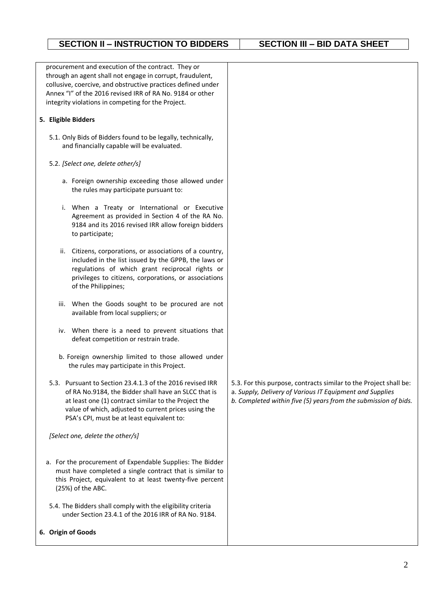procurement and execution of the contract. They or through an agent shall not engage in corrupt, fraudulent, collusive, coercive, and obstructive practices defined under Annex "I" of the 2016 revised IRR of RA No. 9184 or other integrity violations in competing for the Project.

## **5. Eligible Bidders**

5.1. Only Bids of Bidders found to be legally, technically, and financially capable will be evaluated.

## 5.2. *[Select one, delete other/s]*

- a. Foreign ownership exceeding those allowed under the rules may participate pursuant to:
- i. When a Treaty or International or Executive Agreement as provided in Section 4 of the RA No. 9184 and its 2016 revised IRR allow foreign bidders to participate;
- ii. Citizens, corporations, or associations of a country, included in the list issued by the GPPB, the laws or regulations of which grant reciprocal rights or privileges to citizens, corporations, or associations of the Philippines;
- iii. When the Goods sought to be procured are not available from local suppliers; or
- iv. When there is a need to prevent situations that defeat competition or restrain trade.
- b. Foreign ownership limited to those allowed under the rules may participate in this Project.
- 5.3. Pursuant to Section 23.4.1.3 of the 2016 revised IRR of RA No.9184, the Bidder shall have an SLCC that is at least one (1) contract similar to the Project the value of which, adjusted to current prices using the PSA's CPI, must be at least equivalent to:

*[Select one, delete the other/s]*

- a. For the procurement of Expendable Supplies: The Bidder must have completed a single contract that is similar to this Project, equivalent to at least twenty-five percent (25%) of the ABC.
- 5.4. The Bidders shall comply with the eligibility criteria under Section 23.4.1 of the 2016 IRR of RA No. 9184.

## **6. Origin of Goods**

- 5.3. For this purpose, contracts similar to the Project shall be:
- a. *Supply, Delivery of Various IT Equipment and Supplies*
- *b. Completed within five (5) years from the submission of bids.*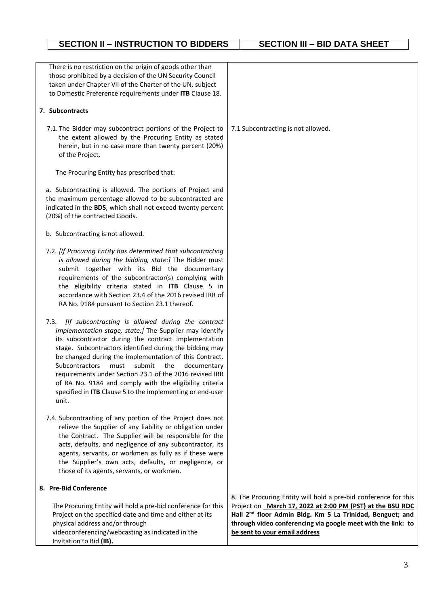| There is no restriction on the origin of goods other than<br>those prohibited by a decision of the UN Security Council<br>taken under Chapter VII of the Charter of the UN, subject<br>to Domestic Preference requirements under ITB Clause 18.                                                                                                                                                                                                                                                                                                      |                                                                                                                                                                                                                                     |
|------------------------------------------------------------------------------------------------------------------------------------------------------------------------------------------------------------------------------------------------------------------------------------------------------------------------------------------------------------------------------------------------------------------------------------------------------------------------------------------------------------------------------------------------------|-------------------------------------------------------------------------------------------------------------------------------------------------------------------------------------------------------------------------------------|
| 7. Subcontracts                                                                                                                                                                                                                                                                                                                                                                                                                                                                                                                                      |                                                                                                                                                                                                                                     |
| 7.1. The Bidder may subcontract portions of the Project to<br>the extent allowed by the Procuring Entity as stated<br>herein, but in no case more than twenty percent (20%)<br>of the Project.                                                                                                                                                                                                                                                                                                                                                       | 7.1 Subcontracting is not allowed.                                                                                                                                                                                                  |
| The Procuring Entity has prescribed that:                                                                                                                                                                                                                                                                                                                                                                                                                                                                                                            |                                                                                                                                                                                                                                     |
| a. Subcontracting is allowed. The portions of Project and<br>the maximum percentage allowed to be subcontracted are<br>indicated in the BDS, which shall not exceed twenty percent<br>(20%) of the contracted Goods.                                                                                                                                                                                                                                                                                                                                 |                                                                                                                                                                                                                                     |
| b. Subcontracting is not allowed.                                                                                                                                                                                                                                                                                                                                                                                                                                                                                                                    |                                                                                                                                                                                                                                     |
| 7.2. [If Procuring Entity has determined that subcontracting<br>is allowed during the bidding, state:] The Bidder must<br>submit together with its Bid the documentary<br>requirements of the subcontractor(s) complying with<br>the eligibility criteria stated in ITB Clause 5 in<br>accordance with Section 23.4 of the 2016 revised IRR of<br>RA No. 9184 pursuant to Section 23.1 thereof.                                                                                                                                                      |                                                                                                                                                                                                                                     |
| [If subcontracting is allowed during the contract<br>7.3.<br>implementation stage, state:] The Supplier may identify<br>its subcontractor during the contract implementation<br>stage. Subcontractors identified during the bidding may<br>be changed during the implementation of this Contract.<br>Subcontractors must<br>submit<br>the<br>documentary<br>requirements under Section 23.1 of the 2016 revised IRR<br>of RA No. 9184 and comply with the eligibility criteria<br>specified in ITB Clause 5 to the implementing or end-user<br>unit. |                                                                                                                                                                                                                                     |
| 7.4. Subcontracting of any portion of the Project does not<br>relieve the Supplier of any liability or obligation under<br>the Contract. The Supplier will be responsible for the<br>acts, defaults, and negligence of any subcontractor, its<br>agents, servants, or workmen as fully as if these were<br>the Supplier's own acts, defaults, or negligence, or<br>those of its agents, servants, or workmen.                                                                                                                                        |                                                                                                                                                                                                                                     |
| 8. Pre-Bid Conference                                                                                                                                                                                                                                                                                                                                                                                                                                                                                                                                | 8. The Procuring Entity will hold a pre-bid conference for this                                                                                                                                                                     |
| The Procuring Entity will hold a pre-bid conference for this<br>Project on the specified date and time and either at its<br>physical address and/or through<br>videoconferencing/webcasting as indicated in the<br>Invitation to Bid (IB).                                                                                                                                                                                                                                                                                                           | Project on March 17, 2022 at 2:00 PM (PST) at the BSU RDC<br>Hall 2 <sup>nd</sup> floor Admin Bldg. Km 5 La Trinidad, Benguet; and<br>through video conferencing via google meet with the link: to<br>be sent to your email address |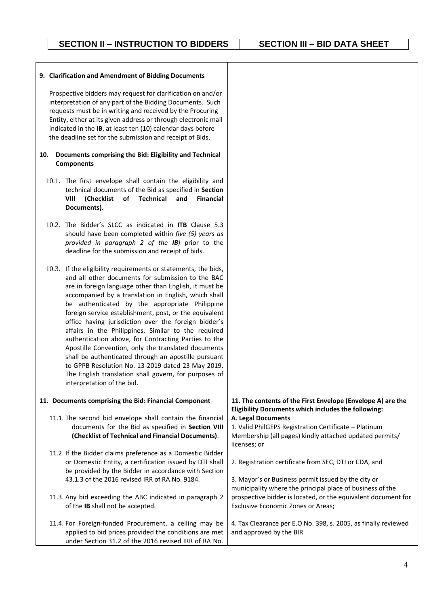#### **9. Clarification and Amendment of Bidding Documents**

Prospective bidders may request for clarification on and/or interpretation of any part of the Bidding Documents. Such requests must be in writing and received by the Procuring Entity, either at its given address or through electronic mail indicated in the **IB**, at least ten (10) calendar days before the deadline set for the submission and receipt of Bids.

#### **10. Documents comprising the Bid: Eligibility and Technical Components**

- 10.1. The first envelope shall contain the eligibility and technical documents of the Bid as specified in **Section VIII (Checklist of Technical and Financial Documents)**.
- 10.2. The Bidder's SLCC as indicated in **ITB** Clause 5.3 should have been completed within *five (5) years as provided in paragraph 2 of the IB]* prior to the deadline for the submission and receipt of bids.
- 10.3. If the eligibility requirements or statements, the bids, and all other documents for submission to the BAC are in foreign language other than English, it must be accompanied by a translation in English, which shall be authenticated by the appropriate Philippine foreign service establishment, post, or the equivalent office having jurisdiction over the foreign bidder's affairs in the Philippines. Similar to the required authentication above, for Contracting Parties to the Apostille Convention, only the translated documents shall be authenticated through an apostille pursuant to GPPB Resolution No. 13-2019 dated 23 May 2019. The English translation shall govern, for purposes of interpretation of the bid.

#### **11. Documents comprising the Bid: Financial Component**

- 11.1. The second bid envelope shall contain the financial documents for the Bid as specified in **Section VIII (Checklist of Technical and Financial Documents)**.
- 11.2. If the Bidder claims preference as a Domestic Bidder or Domestic Entity, a certification issued by DTI shall be provided by the Bidder in accordance with Section 43.1.3 of the 2016 revised IRR of RA No. 9184.
- 11.3. Any bid exceeding the ABC indicated in paragraph 2 of the **IB** shall not be accepted.
- 11.4. For Foreign-funded Procurement, a ceiling may be applied to bid prices provided the conditions are met under Section 31.2 of the 2016 revised IRR of RA No. and approved by the BIR

4

## **11. The contents of the First Envelope (Envelope A) are the Eligibility Documents which includes the following:**

**A. Legal Documents**

1. Valid PhilGEPS Registration Certificate – Platinum Membership (all pages) kindly attached updated permits/ licenses; or

2. Registration certificate from SEC, DTI or CDA, and

3. Mayor's or Business permit issued by the city or municipality where the principal place of business of the prospective bidder is located, or the equivalent document for Exclusive Economic Zones or Areas;

4. Tax Clearance per E.O No. 398, s. 2005, as finally reviewed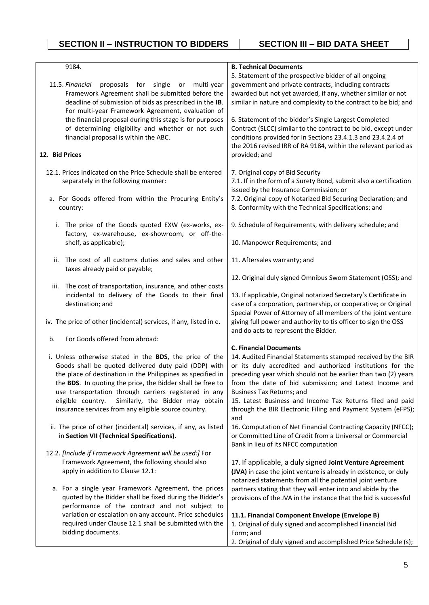| 9184.                                                                                                                                                                    | <b>B. Technical Documents</b><br>5. Statement of the prospective bidder of all ongoing                                                                                                  |
|--------------------------------------------------------------------------------------------------------------------------------------------------------------------------|-----------------------------------------------------------------------------------------------------------------------------------------------------------------------------------------|
| 11.5. Financial<br>proposals for single or<br>multi-year<br>Framework Agreement shall be submitted before the<br>deadline of submission of bids as prescribed in the IB. | government and private contracts, including contracts<br>awarded but not yet awarded, if any, whether similar or not<br>similar in nature and complexity to the contract to be bid; and |
| For multi-year Framework Agreement, evaluation of<br>the financial proposal during this stage is for purposes                                                            | 6. Statement of the bidder's Single Largest Completed                                                                                                                                   |
| of determining eligibility and whether or not such<br>financial proposal is within the ABC.                                                                              | Contract (SLCC) similar to the contract to be bid, except under<br>conditions provided for in Sections 23.4.1.3 and 23.4.2.4 of                                                         |
| 12. Bid Prices                                                                                                                                                           | the 2016 revised IRR of RA 9184, within the relevant period as<br>provided; and                                                                                                         |
| 12.1. Prices indicated on the Price Schedule shall be entered<br>separately in the following manner:                                                                     | 7. Original copy of Bid Security<br>7.1. If in the form of a Surety Bond, submit also a certification<br>issued by the Insurance Commission; or                                         |
| a. For Goods offered from within the Procuring Entity's<br>country:                                                                                                      | 7.2. Original copy of Notarized Bid Securing Declaration; and<br>8. Conformity with the Technical Specifications; and                                                                   |
| The price of the Goods quoted EXW (ex-works, ex-<br>i.<br>factory, ex-warehouse, ex-showroom, or off-the-                                                                | 9. Schedule of Requirements, with delivery schedule; and                                                                                                                                |
| shelf, as applicable);                                                                                                                                                   | 10. Manpower Requirements; and                                                                                                                                                          |
| The cost of all customs duties and sales and other<br>ii.<br>taxes already paid or payable;                                                                              | 11. Aftersales warranty; and                                                                                                                                                            |
|                                                                                                                                                                          | 12. Original duly signed Omnibus Sworn Statement (OSS); and                                                                                                                             |
| iii. The cost of transportation, insurance, and other costs<br>incidental to delivery of the Goods to their final                                                        | 13. If applicable, Original notarized Secretary's Certificate in                                                                                                                        |
| destination; and                                                                                                                                                         | case of a corporation, partnership, or cooperative; or Original<br>Special Power of Attorney of all members of the joint venture                                                        |
| iv. The price of other (incidental) services, if any, listed in e.                                                                                                       | giving full power and authority to tis officer to sign the OSS<br>and do acts to represent the Bidder.                                                                                  |
| For Goods offered from abroad:<br>b.                                                                                                                                     |                                                                                                                                                                                         |
|                                                                                                                                                                          | <b>C. Financial Documents</b>                                                                                                                                                           |
| i. Unless otherwise stated in the BDS, the price of the<br>Goods shall be quoted delivered duty paid (DDP) with                                                          | 14. Audited Financial Statements stamped received by the BIR<br>or its duly accredited and authorized institutions for the                                                              |
| the place of destination in the Philippines as specified in<br>the BDS. In quoting the price, the Bidder shall be free to                                                | preceding year which should not be earlier than two (2) years<br>from the date of bid submission; and Latest Income and                                                                 |
| use transportation through carriers registered in any                                                                                                                    | Business Tax Returns; and                                                                                                                                                               |
| Similarly, the Bidder may obtain<br>eligible country.                                                                                                                    | 15. Latest Business and Income Tax Returns filed and paid                                                                                                                               |
| insurance services from any eligible source country.                                                                                                                     | through the BIR Electronic Filing and Payment System (eFPS);<br>and                                                                                                                     |
| ii. The price of other (incidental) services, if any, as listed<br>in Section VII (Technical Specifications).                                                            | 16. Computation of Net Financial Contracting Capacity (NFCC);<br>or Committed Line of Credit from a Universal or Commercial<br>Bank in lieu of its NFCC computation                     |
| 12.2. [Include if Framework Agreement will be used:] For                                                                                                                 |                                                                                                                                                                                         |
| Framework Agreement, the following should also                                                                                                                           | 17. If applicable, a duly signed Joint Venture Agreement                                                                                                                                |
| apply in addition to Clause 12.1:                                                                                                                                        | (JVA) in case the joint venture is already in existence, or duly                                                                                                                        |
|                                                                                                                                                                          | notarized statements from all the potential joint venture                                                                                                                               |
| a. For a single year Framework Agreement, the prices<br>quoted by the Bidder shall be fixed during the Bidder's                                                          | partners stating that they will enter into and abide by the<br>provisions of the JVA in the instance that the bid is successful                                                         |
| performance of the contract and not subject to                                                                                                                           |                                                                                                                                                                                         |
| variation or escalation on any account. Price schedules<br>required under Clause 12.1 shall be submitted with the                                                        | 11.1. Financial Component Envelope (Envelope B)<br>1. Original of duly signed and accomplished Financial Bid                                                                            |
| bidding documents.                                                                                                                                                       | Form; and                                                                                                                                                                               |
|                                                                                                                                                                          | 2. Original of duly signed and accomplished Price Schedule (s);                                                                                                                         |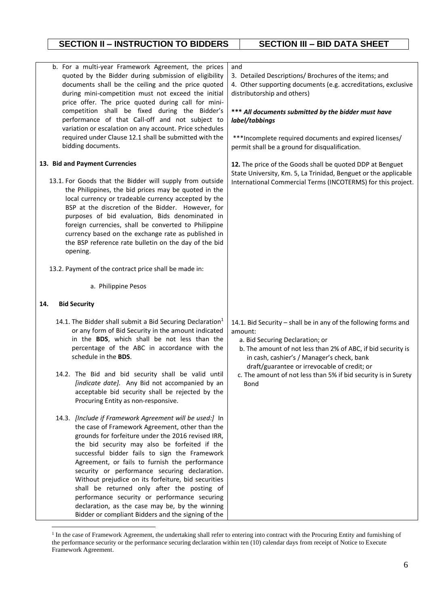| b. For a multi-year Framework Agreement, the prices<br>quoted by the Bidder during submission of eligibility<br>documents shall be the ceiling and the price quoted<br>during mini-competition must not exceed the initial<br>price offer. The price quoted during call for mini-<br>competition shall be fixed during the Bidder's<br>performance of that Call-off and not subject to<br>variation or escalation on any account. Price schedules<br>required under Clause 12.1 shall be submitted with the<br>bidding documents.                                                                                                    | and<br>3. Detailed Descriptions/ Brochures of the items; and<br>4. Other supporting documents (e.g. accreditations, exclusive<br>distributorship and others)<br>*** All documents submitted by the bidder must have<br>label/tabbings<br>***Incomplete required documents and expired licenses/<br>permit shall be a ground for disqualification.            |
|--------------------------------------------------------------------------------------------------------------------------------------------------------------------------------------------------------------------------------------------------------------------------------------------------------------------------------------------------------------------------------------------------------------------------------------------------------------------------------------------------------------------------------------------------------------------------------------------------------------------------------------|--------------------------------------------------------------------------------------------------------------------------------------------------------------------------------------------------------------------------------------------------------------------------------------------------------------------------------------------------------------|
| 13. Bid and Payment Currencies<br>13.1. For Goods that the Bidder will supply from outside<br>the Philippines, the bid prices may be quoted in the<br>local currency or tradeable currency accepted by the<br>BSP at the discretion of the Bidder. However, for<br>purposes of bid evaluation, Bids denominated in<br>foreign currencies, shall be converted to Philippine<br>currency based on the exchange rate as published in<br>the BSP reference rate bulletin on the day of the bid<br>opening.<br>13.2. Payment of the contract price shall be made in:                                                                      | 12. The price of the Goods shall be quoted DDP at Benguet<br>State University, Km. 5, La Trinidad, Benguet or the applicable<br>International Commercial Terms (INCOTERMS) for this project.                                                                                                                                                                 |
|                                                                                                                                                                                                                                                                                                                                                                                                                                                                                                                                                                                                                                      |                                                                                                                                                                                                                                                                                                                                                              |
| a. Philippine Pesos                                                                                                                                                                                                                                                                                                                                                                                                                                                                                                                                                                                                                  |                                                                                                                                                                                                                                                                                                                                                              |
| 14.<br><b>Bid Security</b>                                                                                                                                                                                                                                                                                                                                                                                                                                                                                                                                                                                                           |                                                                                                                                                                                                                                                                                                                                                              |
| 14.1. The Bidder shall submit a Bid Securing Declaration <sup>1</sup><br>or any form of Bid Security in the amount indicated<br>in the BDS, which shall be not less than the<br>percentage of the ABC in accordance with the<br>schedule in the BDS.<br>14.2. The Bid and bid security shall be valid until<br><i>[indicate date]</i> . Any Bid not accompanied by an<br>acceptable bid security shall be rejected by the<br>Procuring Entity as non-responsive.                                                                                                                                                                     | 14.1. Bid Security - shall be in any of the following forms and<br>amount:<br>a. Bid Securing Declaration; or<br>b. The amount of not less than 2% of ABC, if bid security is<br>in cash, cashier's / Manager's check, bank<br>draft/guarantee or irrevocable of credit; or<br>c. The amount of not less than 5% if bid security is in Surety<br><b>Bond</b> |
| 14.3. [Include if Framework Agreement will be used:] In<br>the case of Framework Agreement, other than the<br>grounds for forfeiture under the 2016 revised IRR,<br>the bid security may also be forfeited if the<br>successful bidder fails to sign the Framework<br>Agreement, or fails to furnish the performance<br>security or performance securing declaration.<br>Without prejudice on its forfeiture, bid securities<br>shall be returned only after the posting of<br>performance security or performance securing<br>declaration, as the case may be, by the winning<br>Bidder or compliant Bidders and the signing of the |                                                                                                                                                                                                                                                                                                                                                              |

<sup>&</sup>lt;sup>1</sup> In the case of Framework Agreement, the undertaking shall refer to entering into contract with the Procuring Entity and furnishing of the performance security or the performance securing declaration within ten (10) calendar days from receipt of Notice to Execute Framework Agreement.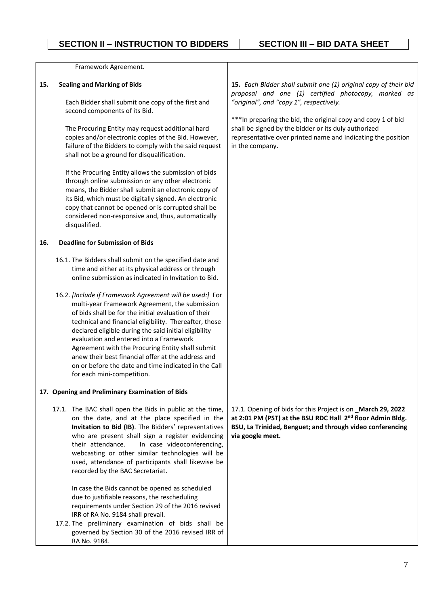| 15. Each Bidder shall submit one (1) original copy of their bid<br>proposal and one (1) certified photocopy, marked as<br>"original", and "copy 1", respectively.<br>Each Bidder shall submit one copy of the first and<br>*** In preparing the bid, the original copy and copy 1 of bid<br>shall be signed by the bidder or its duly authorized<br>The Procuring Entity may request additional hard<br>copies and/or electronic copies of the Bid. However,<br>representative over printed name and indicating the position<br>failure of the Bidders to comply with the said request<br>in the company.<br>If the Procuring Entity allows the submission of bids<br>through online submission or any other electronic<br>means, the Bidder shall submit an electronic copy of<br>its Bid, which must be digitally signed. An electronic<br>copy that cannot be opened or is corrupted shall be<br>considered non-responsive and, thus, automatically |
|--------------------------------------------------------------------------------------------------------------------------------------------------------------------------------------------------------------------------------------------------------------------------------------------------------------------------------------------------------------------------------------------------------------------------------------------------------------------------------------------------------------------------------------------------------------------------------------------------------------------------------------------------------------------------------------------------------------------------------------------------------------------------------------------------------------------------------------------------------------------------------------------------------------------------------------------------------|
|                                                                                                                                                                                                                                                                                                                                                                                                                                                                                                                                                                                                                                                                                                                                                                                                                                                                                                                                                        |
| 16.1. The Bidders shall submit on the specified date and<br>time and either at its physical address or through<br>online submission as indicated in Invitation to Bid.<br>16.2. [Include if Framework Agreement will be used:] For<br>multi-year Framework Agreement, the submission<br>of bids shall be for the initial evaluation of their<br>technical and financial eligibility. Thereafter, those<br>declared eligible during the said initial eligibility<br>evaluation and entered into a Framework<br>Agreement with the Procuring Entity shall submit<br>anew their best financial offer at the address and<br>on or before the date and time indicated in the Call                                                                                                                                                                                                                                                                           |
|                                                                                                                                                                                                                                                                                                                                                                                                                                                                                                                                                                                                                                                                                                                                                                                                                                                                                                                                                        |
| 17.1. The BAC shall open the Bids in public at the time,<br>17.1. Opening of bids for this Project is on March 29, 2022<br>at 2:01 PM (PST) at the BSU RDC Hall 2 <sup>nd</sup> floor Admin Bldg.<br>on the date, and at the place specified in the<br>Invitation to Bid (IB). The Bidders' representatives<br>BSU, La Trinidad, Benguet; and through video conferencing<br>who are present shall sign a register evidencing<br>via google meet.<br>In case videoconferencing,<br>webcasting or other similar technologies will be<br>used, attendance of participants shall likewise be<br>In case the Bids cannot be opened as scheduled<br>due to justifiable reasons, the rescheduling<br>requirements under Section 29 of the 2016 revised                                                                                                                                                                                                        |
|                                                                                                                                                                                                                                                                                                                                                                                                                                                                                                                                                                                                                                                                                                                                                                                                                                                                                                                                                        |

17.2. The preliminary examination of bids shall be governed by Section 30 of the 2016 revised IRR of RA No. 9184.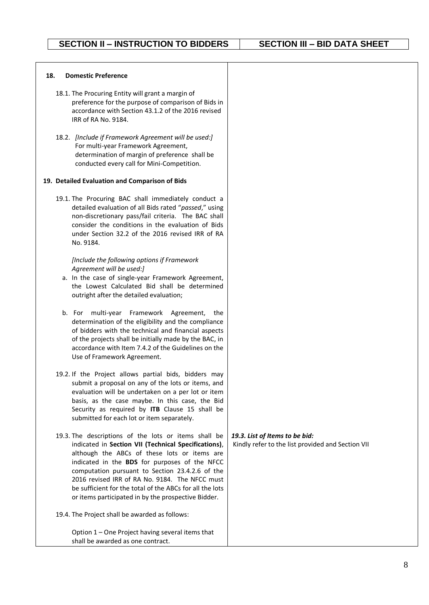#### **18. Domestic Preference**

- 18.1. The Procuring Entity will grant a margin of preference for the purpose of comparison of Bids in accordance with Section 43.1.2 of the 2016 revised IRR of RA No. 9184.
- 18.2. *[Include if Framework Agreement will be used:]*  For multi-year Framework Agreement, determination of margin of preference shall be conducted every call for Mini-Competition.

#### **19. Detailed Evaluation and Comparison of Bids**

19.1. The Procuring BAC shall immediately conduct a detailed evaluation of all Bids rated "*passed*," using non-discretionary pass/fail criteria. The BAC shall consider the conditions in the evaluation of Bids under Section 32.2 of the 2016 revised IRR of RA No. 9184.

#### *[Include the following options if Framework Agreement will be used:]*

- a. In the case of single-year Framework Agreement, the Lowest Calculated Bid shall be determined outright after the detailed evaluation;
- b. For multi-year Framework Agreement, the determination of the eligibility and the compliance of bidders with the technical and financial aspects of the projects shall be initially made by the BAC, in accordance with Item 7.4.2 of the Guidelines on the Use of Framework Agreement.
- 19.2. If the Project allows partial bids, bidders may submit a proposal on any of the lots or items, and evaluation will be undertaken on a per lot or item basis, as the case maybe. In this case, the Bid Security as required by **ITB** Clause 15 shall be submitted for each lot or item separately.
- 19.3. The descriptions of the lots or items shall be indicated in **Section VII (Technical Specifications)**, although the ABCs of these lots or items are indicated in the **BDS** for purposes of the NFCC computation pursuant to Section 23.4.2.6 of the 2016 revised IRR of RA No. 9184. The NFCC must be sufficient for the total of the ABCs for all the lots or items participated in by the prospective Bidder.
- 19.4. The Project shall be awarded as follows:

Option 1 – One Project having several items that shall be awarded as one contract.

### *19.3. List of Items to be bid:* Kindly refer to the list provided and Section VII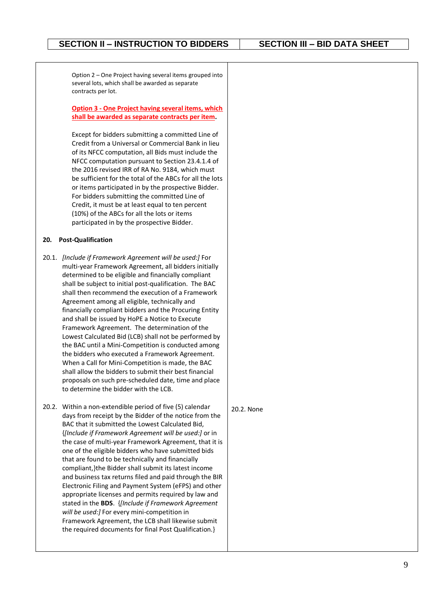Option 2 – One Project having several items grouped into several lots, which shall be awarded as separate contracts per lot.

**Option 3 - One Project having several items, which shall be awarded as separate contracts per item.**

Except for bidders submitting a committed Line of Credit from a Universal or Commercial Bank in lieu of its NFCC computation, all Bids must include the NFCC computation pursuant to Section 23.4.1.4 of the 2016 revised IRR of RA No. 9184, which must be sufficient for the total of the ABCs for all the lots or items participated in by the prospective Bidder. For bidders submitting the committed Line of Credit, it must be at least equal to ten percent (10%) of the ABCs for all the lots or items participated in by the prospective Bidder.

### **20. Post-Qualification**

20.1. *[Include if Framework Agreement will be used:]* For multi-year Framework Agreement, all bidders initially determined to be eligible and financially compliant shall be subject to initial post-qualification. The BAC shall then recommend the execution of a Framework Agreement among all eligible, technically and financially compliant bidders and the Procuring Entity and shall be issued by HoPE a Notice to Execute Framework Agreement. The determination of the Lowest Calculated Bid (LCB) shall not be performed by the BAC until a Mini-Competition is conducted among the bidders who executed a Framework Agreement. When a Call for Mini-Competition is made, the BAC shall allow the bidders to submit their best financial proposals on such pre-scheduled date, time and place to determine the bidder with the LCB.

20.2. Within a non-extendible period of five (5) calendar days from receipt by the Bidder of the notice from the BAC that it submitted the Lowest Calculated Bid, {*[Include if Framework Agreement will be used:]* or in the case of multi-year Framework Agreement, that it is one of the eligible bidders who have submitted bids that are found to be technically and financially compliant,}the Bidder shall submit its latest income and business tax returns filed and paid through the BIR Electronic Filing and Payment System (eFPS) and other appropriate licenses and permits required by law and stated in the **BDS**. {*[Include if Framework Agreement will be used:]* For every mini-competition in Framework Agreement, the LCB shall likewise submit the required documents for final Post Qualification.}

20.2. None